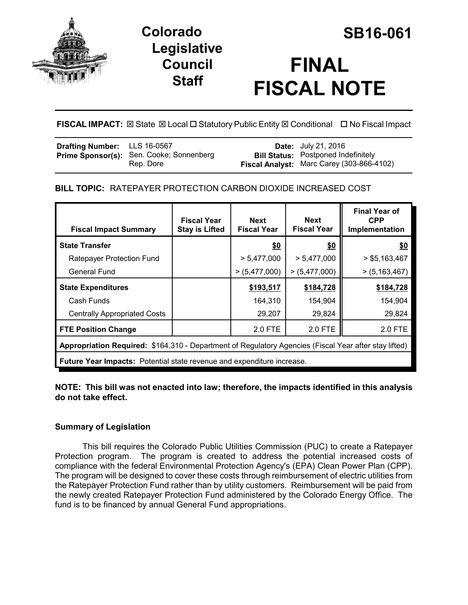

## **Colorado SB16-061 Legislative Council Staff**

# **FINAL FISCAL NOTE**

**FISCAL IMPACT:** ⊠ State ⊠ Local □ Statutory Public Entity ⊠ Conditional □ No Fiscal Impact

| <b>Drafting Number:</b> LLS 16-0567 |                                                              | <b>Date:</b> July 21, 2016                                                              |
|-------------------------------------|--------------------------------------------------------------|-----------------------------------------------------------------------------------------|
|                                     | <b>Prime Sponsor(s):</b> Sen. Cooke; Sonnenberg<br>Rep. Dore | <b>Bill Status: Postponed Indefinitely</b><br>Fiscal Analyst: Marc Carey (303-866-4102) |

## **BILL TOPIC:** RATEPAYER PROTECTION CARBON DIOXIDE INCREASED COST

| <b>Fiscal Impact Summary</b>                                                                          | <b>Fiscal Year</b><br><b>Stay is Lifted</b> | <b>Next</b><br><b>Fiscal Year</b> | <b>Next</b><br><b>Fiscal Year</b> | <b>Final Year of</b><br><b>CPP</b><br>Implementation |  |  |  |
|-------------------------------------------------------------------------------------------------------|---------------------------------------------|-----------------------------------|-----------------------------------|------------------------------------------------------|--|--|--|
| <b>State Transfer</b>                                                                                 |                                             | \$0                               | \$0                               | \$0                                                  |  |  |  |
| Ratepayer Protection Fund                                                                             |                                             | > 5,477,000                       | > 5,477,000                       | $>$ \$5,163,467                                      |  |  |  |
| <b>General Fund</b>                                                                                   |                                             | >(5,477,000)                      | >(5,477,000)                      | >(5, 163, 467)                                       |  |  |  |
| <b>State Expenditures</b>                                                                             |                                             | \$193,517                         | \$184,728                         | \$184,728                                            |  |  |  |
| Cash Funds                                                                                            |                                             | 164,310                           | 154,904                           | 154,904                                              |  |  |  |
| <b>Centrally Appropriated Costs</b>                                                                   |                                             | 29,207                            | 29,824                            | 29,824                                               |  |  |  |
| <b>FTE Position Change</b>                                                                            |                                             | 2.0 FTE                           | 2.0 FTE                           | 2.0 FTE                                              |  |  |  |
| Appropriation Required: \$164,310 - Department of Regulatory Agencies (Fiscal Year after stay lifted) |                                             |                                   |                                   |                                                      |  |  |  |
| <b>Future Year Impacts:</b> Potential state revenue and expenditure increase.                         |                                             |                                   |                                   |                                                      |  |  |  |

**NOTE: This bill was not enacted into law; therefore, the impacts identified in this analysis do not take effect.**

### **Summary of Legislation**

This bill requires the Colorado Public Utilities Commission (PUC) to create a Ratepayer Protection program. The program is created to address the potential increased costs of compliance with the federal Environmental Protection Agency's (EPA) Clean Power Plan (CPP). The program will be designed to cover these costs through reimbursement of electric utilities from the Ratepayer Protection Fund rather than by utility customers. Reimbursement will be paid from the newly created Ratepayer Protection Fund administered by the Colorado Energy Office. The fund is to be financed by annual General Fund appropriations.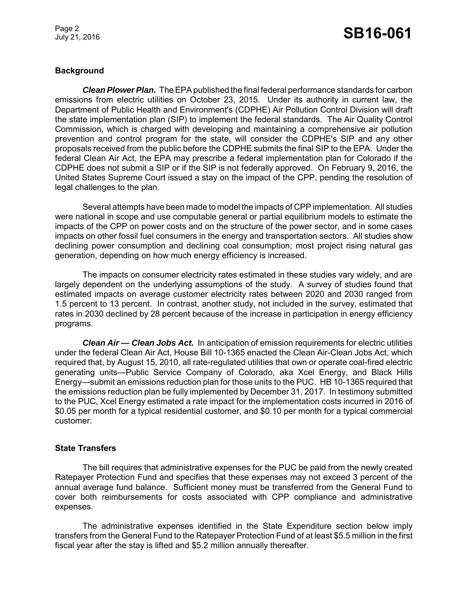Page 2

# July 21, 2016 **SB16-061**

#### **Background**

*Clean Plower Plan.* The EPA published the final federal performance standards for carbon emissions from electric utilities on October 23, 2015. Under its authority in current law, the Department of Public Health and Environment's (CDPHE) Air Pollution Control Division will draft the state implementation plan (SIP) to implement the federal standards. The Air Quality Control Commission, which is charged with developing and maintaining a comprehensive air pollution prevention and control program for the state, will consider the CDPHE's SIP and any other proposals received from the public before the CDPHE submits the final SIP to the EPA. Under the federal Clean Air Act, the EPA may prescribe a federal implementation plan for Colorado if the CDPHE does not submit a SIP or if the SIP is not federally approved. On February 9, 2016, the United States Supreme Court issued a stay on the impact of the CPP, pending the resolution of legal challenges to the plan.

Several attempts have been made to model the impacts of CPP implementation. All studies were national in scope and use computable general or partial equilibrium models to estimate the impacts of the CPP on power costs and on the structure of the power sector, and in some cases impacts on other fossil fuel consumers in the energy and transportation sectors. All studies show declining power consumption and declining coal consumption; most project rising natural gas generation, depending on how much energy efficiency is increased.

The impacts on consumer electricity rates estimated in these studies vary widely, and are largely dependent on the underlying assumptions of the study. A survey of studies found that estimated impacts on average customer electricity rates between 2020 and 2030 ranged from 1.5 percent to 13 percent. In contrast, another study, not included in the survey, estimated that rates in 2030 declined by 28 percent because of the increase in participation in energy efficiency programs.

*Clean Air — Clean Jobs Act.* In anticipation of emission requirements for electric utilities under the federal Clean Air Act, House Bill 10-1365 enacted the Clean Air-Clean Jobs Act, which required that, by August 15, 2010, all rate-regulated utilities that own or operate coal-fired electric generating units—Public Service Company of Colorado, aka Xcel Energy, and Black Hills Energy—submit an emissions reduction plan for those units to the PUC. HB 10-1365 required that the emissions reduction plan be fully implemented by December 31, 2017. In testimony submitted to the PUC, Xcel Energy estimated a rate impact for the implementation costs incurred in 2016 of \$0.05 per month for a typical residential customer, and \$0.10 per month for a typical commercial customer.

#### **State Transfers**

The bill requires that administrative expenses for the PUC be paid from the newly created Ratepayer Protection Fund and specifies that these expenses may not exceed 3 percent of the annual average fund balance. Sufficient money must be transferred from the General Fund to cover both reimbursements for costs associated with CPP compliance and administrative expenses.

The administrative expenses identified in the State Expenditure section below imply transfers from the General Fund to the Ratepayer Protection Fund of at least \$5.5 million in the first fiscal year after the stay is lifted and \$5.2 million annually thereafter.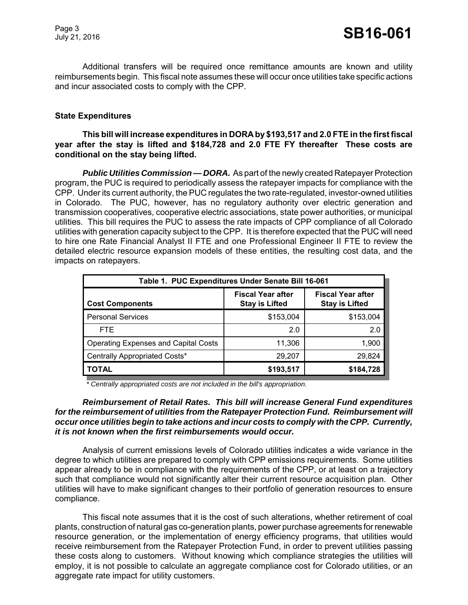Additional transfers will be required once remittance amounts are known and utility reimbursements begin. This fiscal note assumes these will occur once utilities take specific actions and incur associated costs to comply with the CPP.

#### **State Expenditures**

#### **This bill will increase expenditures in DORA by \$193,517 and 2.0 FTE in the first fiscal year after the stay is lifted and \$184,728 and 2.0 FTE FY thereafter These costs are conditional on the stay being lifted.**

*Public Utilities Commission — DORA.* As part of the newly created Ratepayer Protection program, the PUC is required to periodically assess the ratepayer impacts for compliance with the CPP. Under its current authority, the PUC regulates the two rate-regulated, investor-owned utilities in Colorado. The PUC, however, has no regulatory authority over electric generation and transmission cooperatives, cooperative electric associations, state power authorities, or municipal utilities. This bill requires the PUC to assess the rate impacts of CPP compliance of all Colorado utilities with generation capacity subject to the CPP. It is therefore expected that the PUC will need to hire one Rate Financial Analyst II FTE and one Professional Engineer II FTE to review the detailed electric resource expansion models of these entities, the resulting cost data, and the impacts on ratepayers.

| Table 1. PUC Expenditures Under Senate Bill 16-061 |                                                   |                                                   |  |  |  |  |
|----------------------------------------------------|---------------------------------------------------|---------------------------------------------------|--|--|--|--|
| <b>Cost Components</b>                             | <b>Fiscal Year after</b><br><b>Stay is Lifted</b> | <b>Fiscal Year after</b><br><b>Stay is Lifted</b> |  |  |  |  |
| <b>Personal Services</b>                           | \$153,004                                         | \$153,004                                         |  |  |  |  |
| FTE.                                               | 2.0                                               | 2.0                                               |  |  |  |  |
| <b>Operating Expenses and Capital Costs</b>        | 11,306                                            | 1,900                                             |  |  |  |  |
| Centrally Appropriated Costs*                      | 29,207                                            | 29,824                                            |  |  |  |  |
| <b>TOTAL</b>                                       | \$193,517                                         | \$184,728                                         |  |  |  |  |

 *\* Centrally appropriated costs are not included in the bill's appropriation.*

#### *Reimbursement of Retail Rates. This bill will increase General Fund expenditures for the reimbursement of utilities from the Ratepayer Protection Fund. Reimbursement will occur once utilities begin to take actions and incur costs to comply with the CPP. Currently, it is not known when the first reimbursements would occur.*

Analysis of current emissions levels of Colorado utilities indicates a wide variance in the degree to which utilities are prepared to comply with CPP emissions requirements. Some utilities appear already to be in compliance with the requirements of the CPP, or at least on a trajectory such that compliance would not significantly alter their current resource acquisition plan. Other utilities will have to make significant changes to their portfolio of generation resources to ensure compliance.

This fiscal note assumes that it is the cost of such alterations, whether retirement of coal plants, construction of natural gas co-generation plants, power purchase agreements for renewable resource generation, or the implementation of energy efficiency programs, that utilities would receive reimbursement from the Ratepayer Protection Fund, in order to prevent utilities passing these costs along to customers. Without knowing which compliance strategies the utilities will employ, it is not possible to calculate an aggregate compliance cost for Colorado utilities, or an aggregate rate impact for utility customers.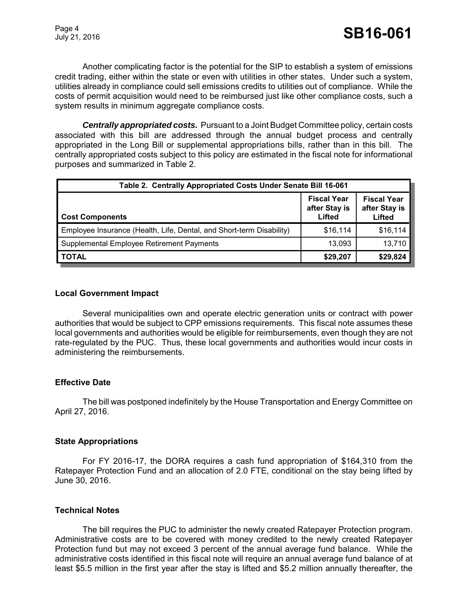Another complicating factor is the potential for the SIP to establish a system of emissions credit trading, either within the state or even with utilities in other states. Under such a system, utilities already in compliance could sell emissions credits to utilities out of compliance. While the costs of permit acquisition would need to be reimbursed just like other compliance costs, such a system results in minimum aggregate compliance costs.

*Centrally appropriated costs.* Pursuant to a Joint Budget Committee policy, certain costs associated with this bill are addressed through the annual budget process and centrally appropriated in the Long Bill or supplemental appropriations bills, rather than in this bill. The centrally appropriated costs subject to this policy are estimated in the fiscal note for informational purposes and summarized in Table 2.

| Table 2. Centrally Appropriated Costs Under Senate Bill 16-061       |                                               |                                               |  |  |  |  |
|----------------------------------------------------------------------|-----------------------------------------------|-----------------------------------------------|--|--|--|--|
| <b>Cost Components</b>                                               | <b>Fiscal Year</b><br>after Stay is<br>Lifted | <b>Fiscal Year</b><br>after Stay is<br>Lifted |  |  |  |  |
| Employee Insurance (Health, Life, Dental, and Short-term Disability) | \$16,114                                      | \$16,114                                      |  |  |  |  |
| Supplemental Employee Retirement Payments                            | 13,093                                        | 13,710                                        |  |  |  |  |
| <b>TOTAL</b>                                                         | \$29,207                                      | \$29,824                                      |  |  |  |  |

#### **Local Government Impact**

Several municipalities own and operate electric generation units or contract with power authorities that would be subject to CPP emissions requirements. This fiscal note assumes these local governments and authorities would be eligible for reimbursements, even though they are not rate-regulated by the PUC. Thus, these local governments and authorities would incur costs in administering the reimbursements.

#### **Effective Date**

The bill was postponed indefinitely by the House Transportation and Energy Committee on April 27, 2016.

#### **State Appropriations**

For FY 2016-17, the DORA requires a cash fund appropriation of \$164,310 from the Ratepayer Protection Fund and an allocation of 2.0 FTE, conditional on the stay being lifted by June 30, 2016.

#### **Technical Notes**

The bill requires the PUC to administer the newly created Ratepayer Protection program. Administrative costs are to be covered with money credited to the newly created Ratepayer Protection fund but may not exceed 3 percent of the annual average fund balance. While the administrative costs identified in this fiscal note will require an annual average fund balance of at least \$5.5 million in the first year after the stay is lifted and \$5.2 million annually thereafter, the